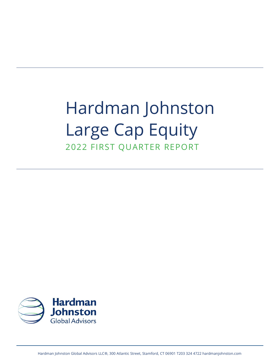# Hardman Johnston Large Cap Equity 2022 FIRST QUARTER REPORT

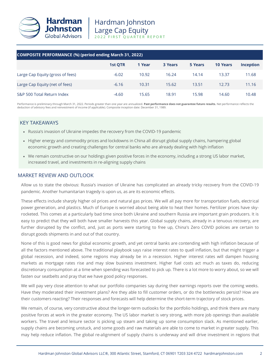

| <b>COMPOSITE PERFORMANCE (%) (period ending March 31, 2022)</b> |                |        |         |         |                 |                  |  |
|-----------------------------------------------------------------|----------------|--------|---------|---------|-----------------|------------------|--|
|                                                                 | <b>1st QTR</b> | 1 Year | 3 Years | 5 Years | <b>10 Years</b> | <b>Inception</b> |  |
| Large Cap Equity (gross of fees)                                | $-6.02$        | 10.92  | 16.24   | 14.14   | 13.37           | 11.68            |  |
| Large Cap Equity (net of fees)                                  | $-6.16$        | 10.31  | 15.62   | 13.51   | 12.73           | 11.16            |  |
| S&P 500 Total Return Index                                      | $-4.60$        | 15.65  | 18.91   | 15.98   | 14.60           | 10.48            |  |

Performance is preliminary through March 31, 2022. Periods greater than one year are annualized. **Past performance does not guarantee future results.** Net performance reflects the deduction of advisory fees and reinvestment of income (if applicable). Composite inception date: December 31, 1989.

# KEY TAKEAWAYS

- Russia's invasion of Ukraine impedes the recovery from the COVID-19 pandemic
- Higher energy and commodity prices and lockdowns in China all disrupt global supply chains, hampering global economic growth and creating challenges for central banks who are already dealing with high inflation
- We remain constructive on our holdings given positive forces in the economy, including a strong US labor market, increased travel, and investments in re-aligning supply chains

## MARKET REVIEW AND OUTLOOK

Allow us to state the obvious: Russia's invasion of Ukraine has complicated an already tricky recovery from the COVID-19 pandemic. Another humanitarian tragedy is upon us, as are its economic effects.

These effects include sharply higher oil prices and natural gas prices. We will all pay more for transportation fuels, electrical power generation, and plastics. Much of Europe is worried about being able to heat their homes. Fertilizer prices have skyrocketed. This comes at a particularly bad time since both Ukraine and southern Russia are important grain producers. It is easy to predict that they will both have smaller harvests this year. Global supply chains, already in a tenuous recovery, are further disrupted by the conflict, and, just as ports were starting to free up, China's Zero COVID policies are certain to disrupt goods shipments in and out of that country.

None of this is good news for global economic growth, and yet central banks are contending with high inflation because of all the factors mentioned above. The traditional playbook says raise interest rates to quell inflation, but that might trigger a global recession, and indeed, some regions may already be in a recession. Higher interest rates will dampen housing markets as mortgage rates rise and may slow business investment. Higher fuel costs act much as taxes do, reducing discretionary consumption at a time when spending was forecasted to pick up. There is a lot more to worry about, so we will fasten our seatbelts and pray that we have good policy responses.

We will pay very close attention to what our portfolio companies say during their earnings reports over the coming weeks. Have they moderated their investment plans? Are they able to fill customer orders, or do the bottlenecks persist? How are their customers reacting? Their responses and forecasts will help determine the short-term trajectory of stock prices.

We remain, of course, very constructive about the longer-term outlooks for the portfolio holdings, and think there are many positive forces at work in the greater economy. The US labor market is very strong, with more job openings than available workers. The travel and leisure sector is picking up steam and taking up some consumption slack. As mentioned earlier, supply chains are becoming unstuck, and some goods and raw materials are able to come to market in greater supply. This may help reduce inflation. The global re-alignment of supply chains is underway and will drive investment in regions that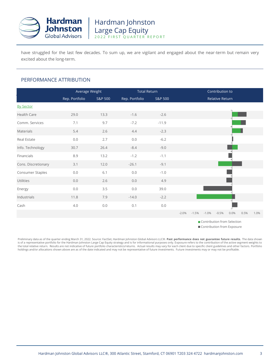

have struggled for the last few decades. To sum up, we are vigilant and engaged about the near-term but remain very excited about the long-term.

## PERFORMANCE ATTRIBUTION

|                     | Average Weight |         |                | <b>Total Return</b> |         | Contribution to |         |                 |      |      |      |
|---------------------|----------------|---------|----------------|---------------------|---------|-----------------|---------|-----------------|------|------|------|
|                     | Rep. Portfolio | S&P 500 | Rep. Portfolio | S&P 500             |         |                 |         | Relative Return |      |      |      |
| <b>By Sector</b>    |                |         |                |                     |         |                 |         |                 |      |      |      |
| Health Care         | 29.0           | 13.3    | $-1.6$         | $-2.6$              |         |                 |         |                 |      |      |      |
| Comm. Services      | 7.1            | 9.7     | $-7.2$         | $-11.9$             |         |                 |         |                 |      |      |      |
| Materials           | 5.4            | 2.6     | 4.4            | $-2.3$              |         |                 |         |                 |      |      |      |
| Real Estate         | 0.0            | 2.7     | 0.0            | $-6.2$              |         |                 |         |                 |      |      |      |
| Info. Technology    | 30.7           | 26.4    | $-8.4$         | $-9.0$              |         |                 |         |                 |      |      |      |
| Financials          | 8.9            | 13.2    | $-1.2$         | $-1.1$              |         |                 |         |                 |      |      |      |
| Cons. Discretionary | 3.1            | 12.0    | $-26.1$        | $-9.1$              |         |                 |         |                 |      |      |      |
| Consumer Staples    | 0.0            | 6.1     | $0.0\,$        | $-1.0$              |         |                 |         |                 |      |      |      |
| Utilities           | 0.0            | 2.6     | $0.0\,$        | 4.9                 |         |                 |         |                 |      |      |      |
| Energy              | 0.0            | 3.5     | 0.0            | 39.0                |         |                 |         |                 |      |      |      |
| Industrials         | 11.8           | 7.9     | $-14.0$        | $-2.2$              |         |                 |         |                 |      |      |      |
| Cash                | 4.0            | 0.0     | 0.1            | $0.0\,$             |         |                 |         |                 |      |      |      |
|                     |                |         |                |                     | $-2.0%$ | $-1.5%$         | $-1.0%$ | $-0.5%$         | 0.0% | 0.5% | 1.0% |

**Contribution from Selection** 

Contribution from Exposure

Preliminary data as of the quarter ending March 31, 2022. Source: FactSet, Hardman Johnston Global Advisors LLC®. **Past performance does not guarantee future results.** The data shown is of a representative portfolio for the Hardman Johnston Large Cap Equity strategy and is for informational purposes only. Exposure refers to the contribution of the active segment weights to the total relative return. Results are not indicative of future portfolio characteristics/returns. Actual results may vary for each client due to specific client guidelines and other factors. Portfolio holdings and/or allocations shown above are as of the date indicated and may not be representative of future investments. Future investments may or may not be profitable.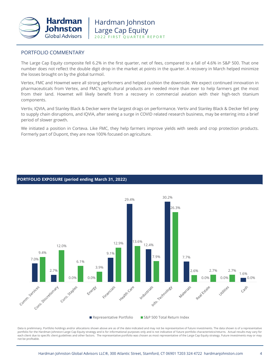

## PORTFOLIO COMMENTARY

The Large Cap Equity composite fell 6.2% in the first quarter, net of fees, compared to a fall of 4.6% in S&P 500. That one number does not reflect the double digit drop in the market at points in the quarter. A recovery in March helped minimize the losses brought on by the global turmoil.

Vertex, FMC and Howmet were all strong performers and helped cushion the downside. We expect continued innovation in pharmaceuticals from Vertex, and FMC's agricultural products are needed more than ever to help farmers get the most from their land. Howmet will likely benefit from a recovery in commercial aviation with their high-tech titanium components.

Vertiv, IQVIA, and Stanley Black & Decker were the largest drags on performance. Vertiv and Stanley Black & Decker fell prey to supply chain disruptions, and IQVIA, after seeing a surge in COVID related research business, may be entering into a brief period of slower growth.

We initiated a position in Corteva. Like FMC, they help farmers improve yields with seeds and crop protection products. Formerly part of Dupont, they are now 100% focused on agriculture.

### **PORTFOLIO EXPOSURE (period ending March 31, 2022)**



Data is preliminary. Portfolio holdings and/or allocations shown above are as of the date indicated and may not be representative of future investments. The data shown is of a representative portfolio for the Hardman Johnston Large Cap Equity strategy and is for informational purposes only and is not indicative of future portfolio characteristics/returns. Actual results may vary for each client due to specific client guidelines and other factors. The representative portfolio was chosen as most representative of the Large Cap Equity strategy. Future investments may or may not be profitable.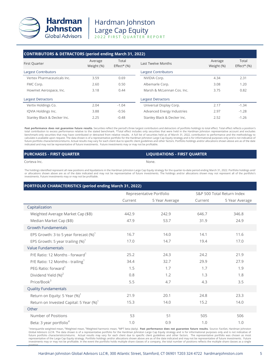

# Hardman Johnston Large Cap Equity 2022 FIRST QUARTER REPORT

| <b>CONTRIBUTORS &amp; DETRACTORS (period ending March 31, 2022)</b> | Average    | Total         |                             | Average    | Total                      |
|---------------------------------------------------------------------|------------|---------------|-----------------------------|------------|----------------------------|
| First Quarter                                                       | Weight (%) | $Effect*(% )$ | Last Twelve Months          | Weight (%) | Effect <sup>*</sup> $(\%)$ |
| Largest Contributors                                                |            |               | <b>Largest Contributors</b> |            |                            |
| Vertex Pharmaceuticals Inc.                                         | 3.59       | 0.69          | NVIDIA Corp.                | 4.34       | 2.31                       |
| FMC Corp.                                                           | 2.60       | 0.50          | Albemarle Corp.             | 3.08       | 1.20                       |
| Howmet Aerospace, Inc.                                              | 3.18       | 0.44          | Marsh & McLennan Cos. Inc.  | 3.75       | 0.82                       |
| <b>Largest Detractors</b>                                           |            |               | <b>Largest Detractors</b>   |            |                            |
| Vertiv Holdings Co.                                                 | 2.04       | $-1.04$       | Universal Display Corp.     | 2.17       | $-1.34$                    |
| IQVIA Holdings Inc.                                                 | 3.88       | $-0.56$       | Advanced Energy Industries  | 2.97       | $-1.28$                    |
| Stanley Black & Decker Inc.                                         | 2.25       | $-0.48$       | Stanley Black & Decker Inc. | 2.52       | $-1.26$                    |

**Past performance does not guarantee future results.** Securities reflect the period's three largest contributors and detractors of portfolio holdings to total effect. Total effect reflects a position's<br>total contribution t benchmark-only securities that may have contributed or detracted from relative results. A full list of securities held as of March 31, 2022, contribution to performance and the methodology to<br>calculate is available upon re future portfolio characteristics/returns. Actual results may vary for each client due to specific client guidelines and other factors. Portfolio holdings and/or allocations shown above are as of the date indicated and may not be representative of future investments. Future investments may or may not be profitable.

#### **PURCHASES - FIRST QUARTER LIQUIDATIONS - FIRST QUARTER**

#### Corteva Inc. None.

The holdings identified represent all new positions and liquidations in the Hardman Johnston Large Cap Equity strategy for the quarter-to-date period ending March 31, 2022. Portfolio holdings and/ or allocations shown above are as of the date indicated and may not be representative of future investments. The holdings and/or allocations shown may not represent all of the portfolio's investments. Future investments may or may not be profitable.

#### **PORTFOLIO CHARACTERISTICS (period ending March 31, 2022)**

|                                                     | Representative Portfolio |                |         | S&P 500 Total Return Index |
|-----------------------------------------------------|--------------------------|----------------|---------|----------------------------|
|                                                     | Current                  | 5 Year Average | Current | 5 Year Average             |
| Capitalization                                      |                          |                |         |                            |
| Weighted Average Market Cap (\$B)                   | 442.9                    | 242.9          | 646.7   | 346.8                      |
| Median Market Cap (\$B)                             | 47.9                     | 53.7           | 31.9    | 24.9                       |
| <b>Growth Fundamentals</b>                          |                          |                |         |                            |
| EPS Growth: 3 to 5 year forecast $(\%)^1$           | 16.7                     | 14.0           | 14.1    | 11.6                       |
| EPS Growth: 5 year trailing $(\%)^1$                | 17.0                     | 14.7           | 19.4    | 17.0                       |
| <b>Value Fundamentals</b>                           |                          |                |         |                            |
| P/E Ratio: 12 Months - forward <sup>1</sup>         | 25.2                     | 24.3           | 24.2    | 21.9                       |
| P/E Ratio: 12 Months - trailing <sup>1</sup>        | 34.4                     | 32.7           | 29.9    | 27.9                       |
| PEG Ratio: forward <sup>1</sup>                     | 1.5                      | 1.7            | 1.7     | 1.9                        |
| Dividend Yield (%) <sup>2</sup>                     | 0.8                      | 1.2            | 1.3     | 1.8                        |
| Price/Book $3$                                      | 5.5                      | 4.7            | 4.3     | 3.5                        |
| <b>Quality Fundamentals</b>                         |                          |                |         |                            |
| Return on Equity: 5 Year $(\%)^1$                   | 21.9                     | 20.1           | 24.8    | 23.3                       |
| Return on Invested Capital: 5 Year (%) <sup>1</sup> | 15.3                     | 14.0           | 15.2    | 14.0                       |
| Other                                               |                          |                |         |                            |
| Number of Positions                                 | 53                       | 51             | 505     | 506                        |
| Beta: 3 year portfolio <sup>4</sup>                 | 1.0                      | 0.9            | 1.0     | 1.0                        |

<sup>1</sup>Interquartile weighted mean, <sup>2</sup>Weighted mean, <sup>3</sup>Weighted harmonic mean, <sup>4</sup>MPT beta (daily). Past performance does not guarantee future results. Source: FactSet, Hardman Johnston Global Advisors LLC®. The data shown is of a representative portfolio for the Hardman Johnston Large Cap Equity strategy and is for informational purposes only and is not indicative of<br>future portfolio characteristics/retu representative of the Large Cap Equity strategy. Portfolio holdings and/or allocations shown above are as of the date indicated and may not be representative of future investments. Future investments may or may not be profitable. In the event the portfolio holds multiple share classes of a company, the total number of positions reflects the multiple share classes as a single position.